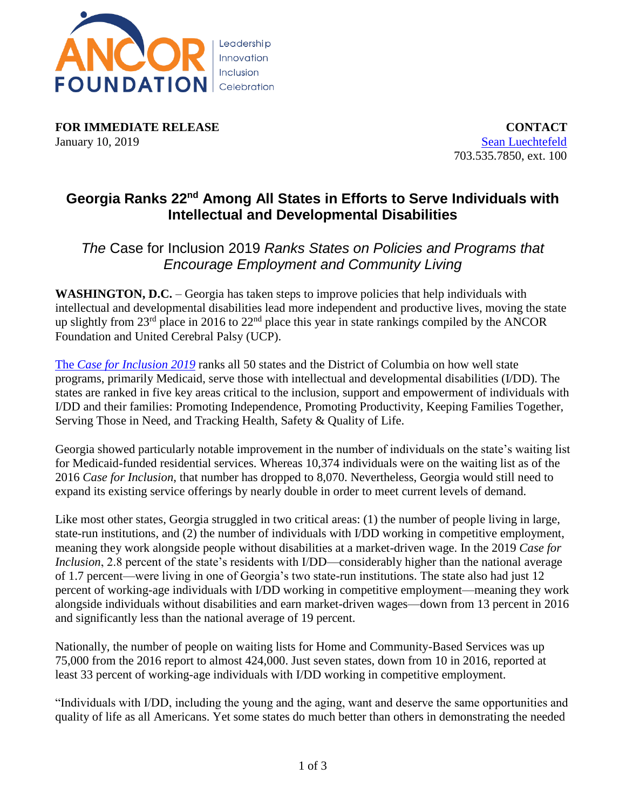

**FOR IMMEDIATE RELEASE CONTACT** January 10, 2019 [Sean Luechtefeld](mailto:sluechtefeld@ancor.org)

703.535.7850, ext. 100

## **Georgia Ranks 22nd Among All States in Efforts to Serve Individuals with Intellectual and Developmental Disabilities**

## *The* Case for Inclusion 2019 *Ranks States on Policies and Programs that Encourage Employment and Community Living*

**WASHINGTON, D.C.** – Georgia has taken steps to improve policies that help individuals with intellectual and developmental disabilities lead more independent and productive lives, moving the state up slightly from  $23<sup>rd</sup>$  place in 2016 to  $22<sup>nd</sup>$  place this year in state rankings compiled by the ANCOR Foundation and United Cerebral Palsy (UCP).

The *[Case for Inclusion 2019](http://caseforinclusion.org/)* ranks all 50 states and the District of Columbia on how well state programs, primarily Medicaid, serve those with intellectual and developmental disabilities (I/DD). The states are ranked in five key areas critical to the inclusion, support and empowerment of individuals with I/DD and their families: Promoting Independence, Promoting Productivity, Keeping Families Together, Serving Those in Need, and Tracking Health, Safety & Quality of Life.

Georgia showed particularly notable improvement in the number of individuals on the state's waiting list for Medicaid-funded residential services. Whereas 10,374 individuals were on the waiting list as of the 2016 *Case for Inclusion*, that number has dropped to 8,070. Nevertheless, Georgia would still need to expand its existing service offerings by nearly double in order to meet current levels of demand.

Like most other states, Georgia struggled in two critical areas: (1) the number of people living in large, state-run institutions, and (2) the number of individuals with I/DD working in competitive employment, meaning they work alongside people without disabilities at a market-driven wage. In the 2019 *Case for Inclusion*, 2.8 percent of the state's residents with I/DD—considerably higher than the national average of 1.7 percent—were living in one of Georgia's two state-run institutions. The state also had just 12 percent of working-age individuals with I/DD working in competitive employment—meaning they work alongside individuals without disabilities and earn market-driven wages—down from 13 percent in 2016 and significantly less than the national average of 19 percent.

Nationally, the number of people on waiting lists for Home and Community-Based Services was up 75,000 from the 2016 report to almost 424,000. Just seven states, down from 10 in 2016, reported at least 33 percent of working-age individuals with I/DD working in competitive employment.

"Individuals with I/DD, including the young and the aging, want and deserve the same opportunities and quality of life as all Americans. Yet some states do much better than others in demonstrating the needed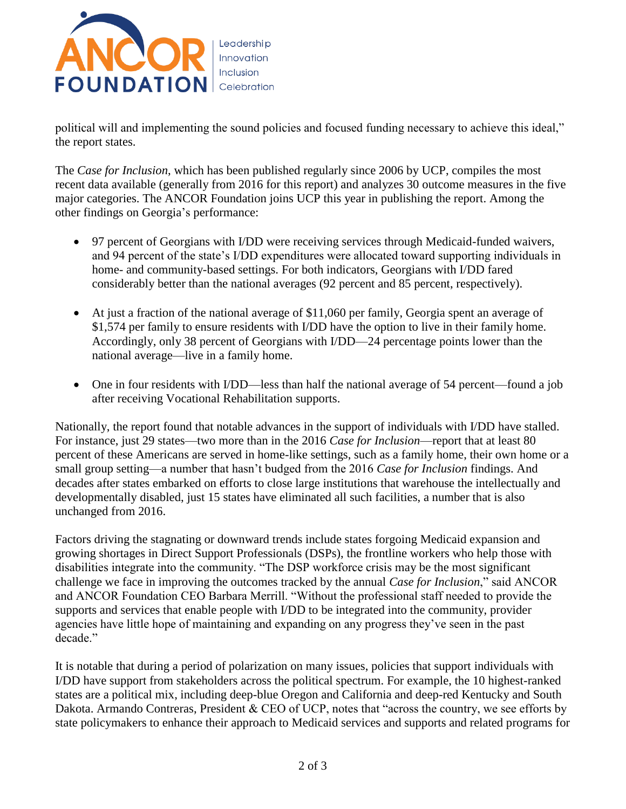

political will and implementing the sound policies and focused funding necessary to achieve this ideal," the report states.

The *Case for Inclusion*, which has been published regularly since 2006 by UCP, compiles the most recent data available (generally from 2016 for this report) and analyzes 30 outcome measures in the five major categories. The ANCOR Foundation joins UCP this year in publishing the report. Among the other findings on Georgia's performance:

- 97 percent of Georgians with I/DD were receiving services through Medicaid-funded waivers, and 94 percent of the state's I/DD expenditures were allocated toward supporting individuals in home- and community-based settings. For both indicators, Georgians with I/DD fared considerably better than the national averages (92 percent and 85 percent, respectively).
- At just a fraction of the national average of \$11,060 per family, Georgia spent an average of \$1,574 per family to ensure residents with I/DD have the option to live in their family home. Accordingly, only 38 percent of Georgians with I/DD—24 percentage points lower than the national average—live in a family home.
- One in four residents with I/DD—less than half the national average of 54 percent—found a job after receiving Vocational Rehabilitation supports.

Nationally, the report found that notable advances in the support of individuals with I/DD have stalled. For instance, just 29 states—two more than in the 2016 *Case for Inclusion*—report that at least 80 percent of these Americans are served in home-like settings, such as a family home, their own home or a small group setting—a number that hasn't budged from the 2016 *Case for Inclusion* findings. And decades after states embarked on efforts to close large institutions that warehouse the intellectually and developmentally disabled, just 15 states have eliminated all such facilities, a number that is also unchanged from 2016.

Factors driving the stagnating or downward trends include states forgoing Medicaid expansion and growing shortages in Direct Support Professionals (DSPs), the frontline workers who help those with disabilities integrate into the community. "The DSP workforce crisis may be the most significant challenge we face in improving the outcomes tracked by the annual *Case for Inclusion*," said ANCOR and ANCOR Foundation CEO Barbara Merrill. "Without the professional staff needed to provide the supports and services that enable people with I/DD to be integrated into the community, provider agencies have little hope of maintaining and expanding on any progress they've seen in the past decade."

It is notable that during a period of polarization on many issues, policies that support individuals with I/DD have support from stakeholders across the political spectrum. For example, the 10 highest-ranked states are a political mix, including deep-blue Oregon and California and deep-red Kentucky and South Dakota. Armando Contreras, President & CEO of UCP, notes that "across the country, we see efforts by state policymakers to enhance their approach to Medicaid services and supports and related programs for